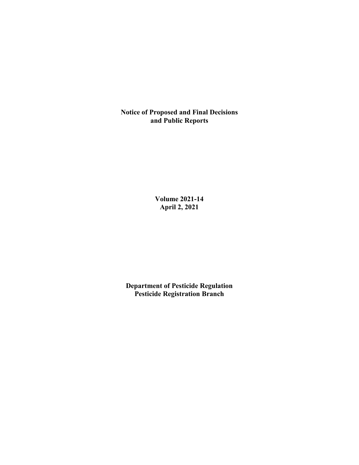**Notice of Proposed and Final Decisions and Public Reports**

> **Volume 2021-14 April 2, 2021**

**Department of Pesticide Regulation Pesticide Registration Branch**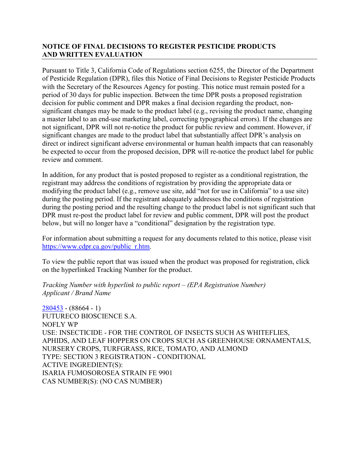## **NOTICE OF FINAL DECISIONS TO REGISTER PESTICIDE PRODUCTS AND WRITTEN EVALUATION**

Pursuant to Title 3, California Code of Regulations section 6255, the Director of the Department of Pesticide Regulation (DPR), files this Notice of Final Decisions to Register Pesticide Products with the Secretary of the Resources Agency for posting. This notice must remain posted for a period of 30 days for public inspection. Between the time DPR posts a proposed registration decision for public comment and DPR makes a final decision regarding the product, nonsignificant changes may be made to the product label (e.g., revising the product name, changing a master label to an end-use marketing label, correcting typographical errors). If the changes are not significant, DPR will not re-notice the product for public review and comment. However, if significant changes are made to the product label that substantially affect DPR's analysis on direct or indirect significant adverse environmental or human health impacts that can reasonably be expected to occur from the proposed decision, DPR will re-notice the product label for public review and comment.

In addition, for any product that is posted proposed to register as a conditional registration, the registrant may address the conditions of registration by providing the appropriate data or modifying the product label (e.g., remove use site, add "not for use in California" to a use site) during the posting period. If the registrant adequately addresses the conditions of registration during the posting period and the resulting change to the product label is not significant such that DPR must re-post the product label for review and public comment, DPR will post the product below, but will no longer have a "conditional" designation by the registration type.

For information about submitting a request for any documents related to this notice, please visit [https://www.cdpr.ca.gov/public\\_r.htm.](https://www.cdpr.ca.gov/public_r.htm)

To view the public report that was issued when the product was proposed for registration, click on the hyperlinked Tracking Number for the product.

*Tracking Number with hyperlink to public report – (EPA Registration Number) Applicant / Brand Name*

[280453](https://www.cdpr.ca.gov/docs/registration/nod/public_reports/280453.pdf) - (88664 - 1) FUTURECO BIOSCIENCE S.A. NOFLY WP USE: INSECTICIDE - FOR THE CONTROL OF INSECTS SUCH AS WHITEFLIES, APHIDS, AND LEAF HOPPERS ON CROPS SUCH AS GREENHOUSE ORNAMENTALS, NURSERY CROPS, TURFGRASS, RICE, TOMATO, AND ALMOND TYPE: SECTION 3 REGISTRATION - CONDITIONAL ACTIVE INGREDIENT(S): ISARIA FUMOSOROSEA STRAIN FE 9901 CAS NUMBER(S): (NO CAS NUMBER)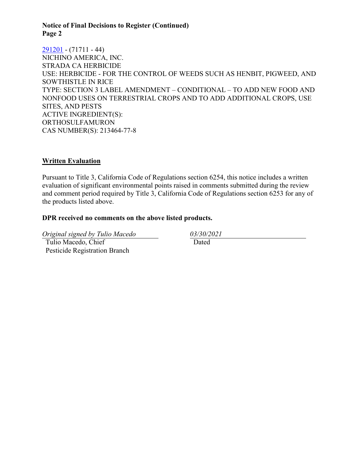#### **Notice of Final Decisions to Register (Continued) Page 2**

[291201](https://www.cdpr.ca.gov/docs/registration/nod/public_reports/291201.pdf) - (71711 - 44) NICHINO AMERICA, INC. STRADA CA HERBICIDE USE: HERBICIDE - FOR THE CONTROL OF WEEDS SUCH AS HENBIT, PIGWEED, AND SOWTHISTLE IN RICE TYPE: SECTION 3 LABEL AMENDMENT – CONDITIONAL – TO ADD NEW FOOD AND NONFOOD USES ON TERRESTRIAL CROPS AND TO ADD ADDITIONAL CROPS, USE SITES, AND PESTS ACTIVE INGREDIENT(S): ORTHOSULFAMURON CAS NUMBER(S): 213464-77-8

### **Written Evaluation**

Pursuant to Title 3, California Code of Regulations section 6254, this notice includes a written evaluation of significant environmental points raised in comments submitted during the review and comment period required by Title 3, California Code of Regulations section 6253 for any of the products listed above.

#### **DPR received no comments on the above listed products.**

*Original signed by Tulio Macedo 03/30/2021* Tulio Macedo, Chief Pesticide Registration Branch

Dated